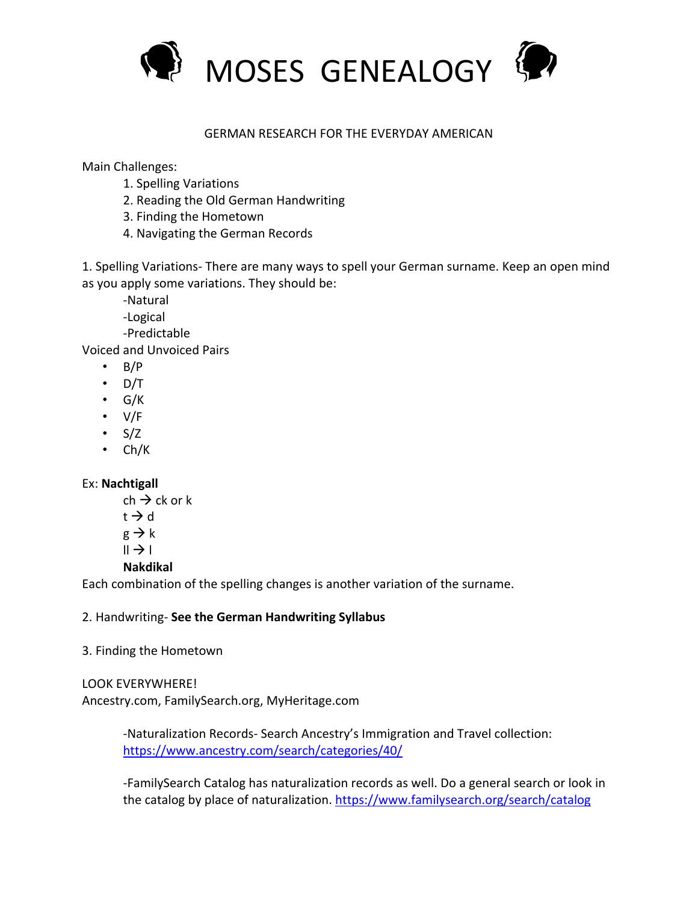

## GERMAN RESEARCH FOR THE EVERYDAY AMERICAN

Main Challenges:

- 1. Spelling Variations
- 2. Reading the Old German Handwriting
- 3. Finding the Hometown
- 4. Navigating the German Records

1. Spelling Variations- There are many ways to spell your German surname. Keep an open mind as you apply some variations. They should be:

-Natural

-Logical

-Predictable

Voiced and Unvoiced Pairs

- $\cdot$  B/P
- $\cdot$  D/T
- G/K
- V/F
- $\cdot$  S/Z
- Ch/K

Ex: **Nachtigall**

 $ch \rightarrow ck$  or k  $t \rightarrow d$  $g \rightarrow k$  $\parallel \rightarrow \parallel$ **Nakdikal**

Each combination of the spelling changes is another variation of the surname.

## 2. Handwriting- **See the German Handwriting Syllabus**

3. Finding the Hometown

LOOK EVERYWHERE! Ancestry.com, FamilySearch.org, MyHeritage.com

> -Naturalization Records- Search Ancestry's Immigration and Travel collection: https://www.ancestry.com/search/categories/40/

-FamilySearch Catalog has naturalization records as well. Do a general search or look in the catalog by place of naturalization. https://www.familysearch.org/search/catalog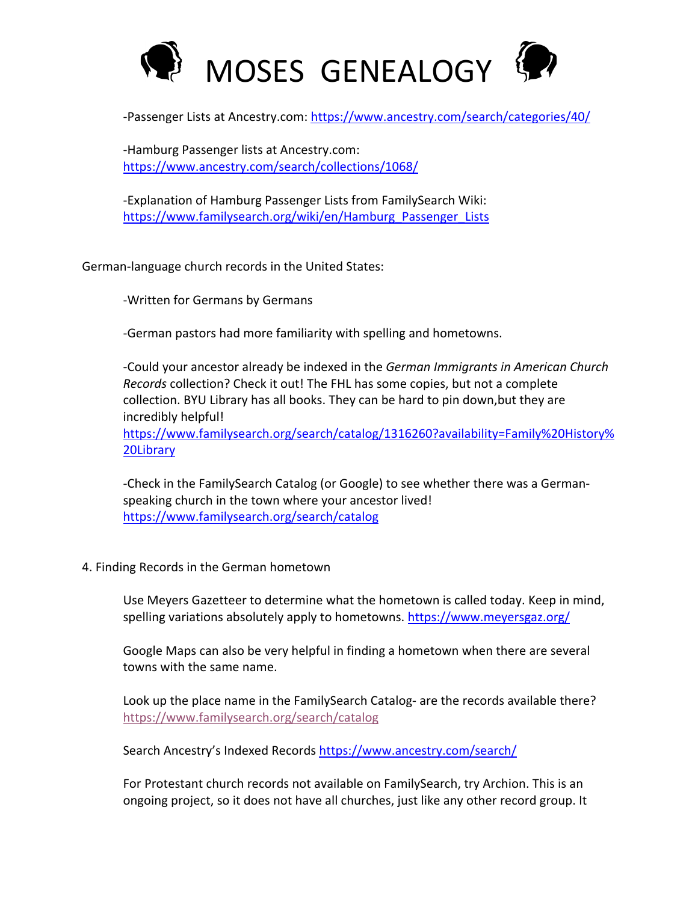

-Passenger Lists at Ancestry.com: https://www.ancestry.com/search/categories/40/

-Hamburg Passenger lists at Ancestry.com: https://www.ancestry.com/search/collections/1068/

-Explanation of Hamburg Passenger Lists from FamilySearch Wiki: https://www.familysearch.org/wiki/en/Hamburg\_Passenger\_Lists

German-language church records in the United States:

-Written for Germans by Germans

-German pastors had more familiarity with spelling and hometowns.

-Could your ancestor already be indexed in the *German Immigrants in American Church Records* collection? Check it out! The FHL has some copies, but not a complete collection. BYU Library has all books. They can be hard to pin down,but they are incredibly helpful!

https://www.familysearch.org/search/catalog/1316260?availability=Family%20History% 20Library

-Check in the FamilySearch Catalog (or Google) to see whether there was a Germanspeaking church in the town where your ancestor lived! https://www.familysearch.org/search/catalog

4. Finding Records in the German hometown

Use Meyers Gazetteer to determine what the hometown is called today. Keep in mind, spelling variations absolutely apply to hometowns. https://www.meyersgaz.org/

Google Maps can also be very helpful in finding a hometown when there are several towns with the same name.

Look up the place name in the FamilySearch Catalog- are the records available there? https://www.familysearch.org/search/catalog

Search Ancestry's Indexed Records https://www.ancestry.com/search/

For Protestant church records not available on FamilySearch, try Archion. This is an ongoing project, so it does not have all churches, just like any other record group. It